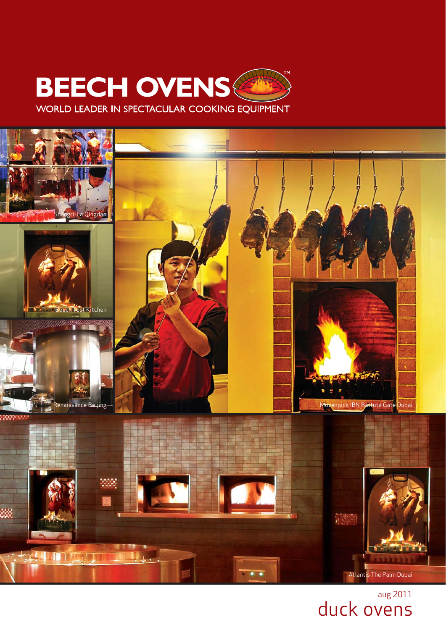

WORLD LEADER IN SPECTACULAR COOKING EQUIPMENT



aug 2011 duck ovens